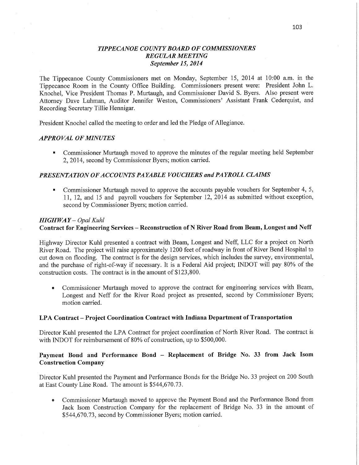## *TIPPECANOE COUNTY BOARD* OF *COMMISSIONERS REGULAR MEETING September* 15, *2014*

The Tippecanoe County Commissioners met on Monday, September 15, 2014 at 10:00 am. in the Tippecanoe Room in the County Office Building. Commissioners present were: President John L. Knochel, Vice President Thomas P. Murtaugh, and Commissioner David S. Byers. Also present were **Attorney** Dave Luhman, Auditor Jennifer Weston, Commissioners' Assistant Frank Cederquist, and Recording Secretary Tillie Henm'gar.

President Knochel called the meeting to order and led the Pledge of Allegiance.

#### *APPRO* VAL OF *MINUTES*

**I** Commissioner Murtaugh moved to approve the minutes of the regular meeting held September 2, 2014, second by Commissioner Byers; motion carried.

# *PRESENTATION 0FACCO UNTS* PA *YABLE VOUCHERS* and *PAYROLL CLAIMS*

**I** Commissioner Murtaugh moved to approve the accounts payable vouchers for September 4, 5, 11, 12, and 15 and payroll vouchers for September 12, 2014 as submitted without exception, second by Commissioner Byers; motion carried.

### *HIGHWAY* — *Opal Kuhl*

## **Contract** for **Engineering Services** — **Reconstruction** of **N River Road from Beam, Longest** and **Neff**

Highway Director Kuhl presented a contract with Beam, Longest and Neff, LLC for a project on North River Road. The project will raise approximately 1200 feet of roadway in front of River Bend Hospital to cut **down** on flooding. The contract is for the design services, which includes the survey, environmental, and the purchase of right-of-way if necessary. It is a Federal Aid project; INDOT will pay 80% of the construction costs. The contract is in the amount of \$123,800.

**0** Commissioner Murtaugh moved to approve the contract for engineering services with Beam, Longest and Neff for the River Road project as presented, second by Commissioner Byers; motion carried.

### LPA **Contract — Project Coordination Contract** with **Indiana Department** of **Transportation**

Director Kuhl presented the LPA Contract for project coordination of North River Road. The contract is **with** INDOT for reimbursement of 80% of construction, up to \$500,000.

# **Payment** Bond and **Performance Bond** — **Replacement** of **Bridge** No. 33 **from Jack Isom Construction Company**

Director Kuhl presented the Payment and Performance Bonds for the Bridge No. 33 project on 200 South at East County Line Road. The amount is \$544,670.73.

*0* Commissioner Murtaugh moved to approve the Payment Bond and the Performance Bond from Jack Isom Construction Company for the replacement of Bridge No. 33 in the amount of \$544,670.73, second by Commissioner Byers; motion carried.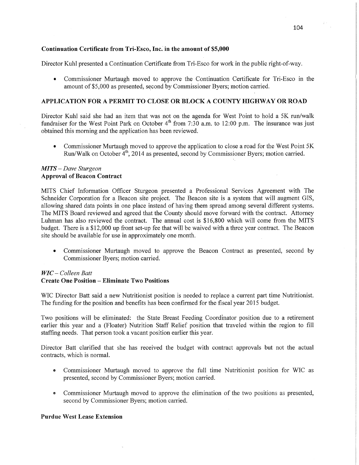#### Continuation **Certificate from Tri-Esco, Inc.'** in the **amount** of **\$5,000**

Director Kuhl presented a Continuation Certificate from Tri—Esco for work in the public right—of-way.

**-** Commissioner Murtaugh moved to' approve the Continuation Certificate for Tri-Esco in the amount of \$5,000 as presented, second by Commissioner Byers; motion carried.

### **APPLICATION** FOR **A** PERMIT TO **CLOSE** OR BLOCK **A COUNTY** HIGHWAY OR **ROAD**

Director Kuhl said she had an item that was not on the agenda for West Point to hold a 5K run/walk fundraiser for the West Point Park on October 4<sup>th</sup> from 7:30 a.m. to 12:00 p.m. The insurance was just obtained this morning and the application has been reviewed.

**0** Commissioner Murtaugh moved to approve the application to close a road for the West Point 5K Run/Walk on October  $\overline{4}^{th}$ , 2014 as presented, second by Commissioner Byers; motion carried.

### MI TS — *Dave Sturgeon*  **Approval** of **Beacon Contract**

**MITS** Chief Information Officer Sturgeon presented a Professional Services Agreement with The Schneider Corporation for a Beacon site project. The Beacon site is <sup>a</sup>system that will augmen<sup>t</sup>**GIS,**  allowing shared data points in one place instead of having them spread among several different systems. The MITS Board reviewed and agreed that the County should move forward with the contract. Attorney Luhman has also reviewed the contract. The annual cost is \$16,800 which will come from the MITS budget. There is a \$12,000 up front set-up fee that will be waived with a three year contract. The Beacon site should be available for use in approximately one month.

• Commissioner Murtaugh moved to approve the Beacon Contract as presented, second by Commissioner Byers; motion carried.

# WIC — *Colleen Bart*

### **Create** One **Position** — **Eliminate** Two **Positions**

WIC Director Batt said a new Nutritionist position is needed to replace a current part time Nutritionist. The funding for the position and benefits has been confirmed for the fiscal year 2015 budget.

Two positions will be eliminated: the State Breast Feeding Coordinator position due to a retirement earlier this year and a (Floater) Nutrition Staff Relief position that traveled within the region to fill staffing needs. That person took a vacant position earlier this year.

Director Batt clarified that she has received the budget **with'** contract approvals but not the actual contracts, which is normal.

- **0** Commissioner Murtaugh moved to approve the full time Nutritionist position for WIC as presented, second by Commissioner Byers; motion carried.
- **<sup>a</sup>**Commissioner Murtaugh moved to approve the elimination of the two positions as presented, second by Commissioner Byers; motion carried.

#### **Purdue** West **Lease** Extension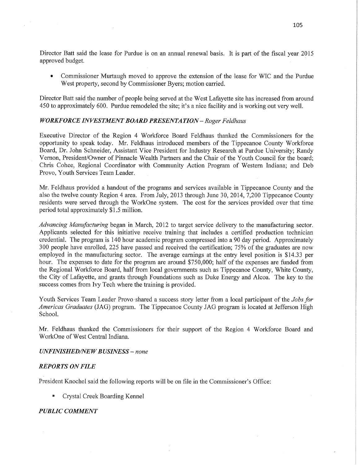Director Batt said the lease for Purdue is on an annual renewal basis. It is part of the fiscal year 2015 approved budget.

**0** Commissioner Murtaugh moved to approve the **extension** of the lease for WC and the Purdue West property, second by Commissioner Byers; motion carried.

Director Batt said the number of people being served at the West Lafayette site has increased from around 450 to approximately 600. Purdue remodeled the site; it's a nice facility and 1s working out very well.

## *WORKFORCE INVESTMENT BOARD PRESENTATION - Roger Feldhaus*

Executive Director of the Region 4 Workforce Board Feldhaus thanked the Commissioners for the opportunity to speak today. Mr. Feldhaus introduced members of the Tippecanoe County Workforce Board, Dr. John Schneider, Assistant **Vice** President for Industry Research at Purdue University; Randy Vernon, President/Owner of Pinnacle Wealth Partners and the **Chair** of the Youth Council for the board; Chris Cohee, Regional Coordinator with Community Action Program of Western Indiana; and Deb Provo, Youth Services Team Leader.

Mr. Feldhaus provided a handout of the programs and services available in Tippecanoe County and the also the twelve county Region 4 area. From July, 2013 through June 30, 2014, 7,200 Tippecanoe County residents were served through the WorkOne system. The cost for the services provided over that time period total approximately \$1.5 million.

*Advancing Manufacturing* began in March, 2012 to target service delivery to the manufacturing sector. Applicants selected for this initiative receive training that includes a certified production technician credential. The program is 140 hour academic program compressed **into a** 90 day period. Approximately 300 people have enrolled, 225 have passed and received the certification; 75% of the graduates are now employed in the manufacturing **sector.** The average earnings at the entry level position is **\$14.33** per hour. The expenses to date for the program are around \$750,000; half of the expenses are funded from the Regional Workforce Board, half from local governments such as Tippecanoe County, White County, the City of Lafayette, and **grants** through Foundations such as Duke Energy and Alcoa. The key to the success comes fiom Ivy Tech where the training is provided.

Youth Services Team Leader Provo'shared a success story letter from a local participant of the *Jobs* for *Americas Graduates* (JAG) program. The Tippecanoe County JAG program is located at Jefferson High School.

Mr. Feldhaus thanked the Commissioners for their support of the Region 4 Workforce Board and WorkOne of West Central Indiana.

#### *UNFINISHEDflVEWBUSINESS* **—** *none*

#### *REPORTS* ON *FILE '*

Pfesident Knochel said the following reports will be on file in the Commissioner's Office:

**I** Crystal Creek Boarding Kennel

#### *PUBLIC COMMENT*